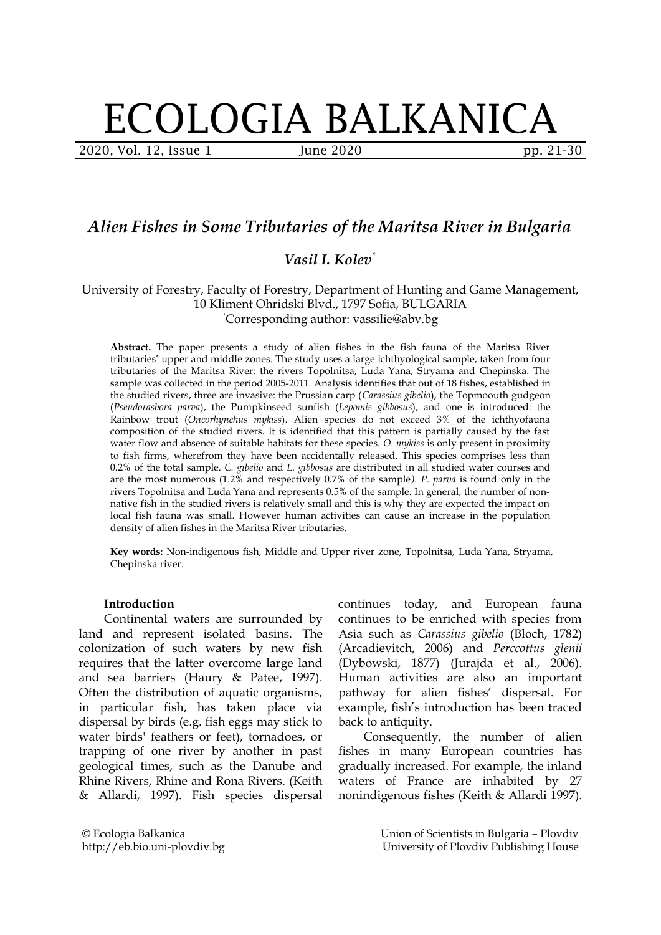# ECOLOGIA BALKANICA

2020, Vol. 12, Issue 1 June 2020 **pp. 21-30** 

# *Alien Fishes in Some Tributaries of the Maritsa River in Bulgaria*

# *Vasil I. Kolev\**

# University of Forestry, Faculty of Forestry, Department of Hunting and Game Management, 10 Kliment Ohridski Blvd., 1797 Sofia, BULGARIA \*Corresponding author: vassilie@abv.bg

**Abstract.** The paper presents a study of alien fishes in the fish fauna of the Maritsa River tributaries' upper and middle zones. The study uses a large ichthyological sample, taken from four tributaries of the Maritsa River: the rivers Topolnitsa, Luda Yana, Stryama and Chepinska. The sample was collected in the period 2005-2011. Analysis identifies that out of 18 fishes, established in the studied rivers, three are invasive: the Prussian carp (*Carassius gibelio*), the Topmoouth gudgeon (*Pseudorasbora parva*), the Pumpkinseed sunfish (*Lepomis gibbosus*), and one is introduced: the Rainbow trout (*Oncorhynchus mykiss*). Alien species do not exceed 3% of the ichthyofauna composition of the studied rivers. It is identified that this pattern is partially caused by the fast water flow and absence of suitable habitats for these species. *O. mykiss* is only present in proximity to fish firms, wherefrom they have been accidentally released. This species comprises less than 0.2% of the total sample. *C. gibelio* and *L. gibbosus* are distributed in all studied water courses and are the most numerous (1.2% and respectively 0.7% of the sample*). P. parva* is found only in the rivers Topolnitsa and Luda Yana and represents 0.5% of the sample. In general, the number of nonnative fish in the studied rivers is relatively small and this is why they are expected the impact on local fish fauna was small. However human activities can cause an increase in the population density of alien fishes in the Maritsa River tributaries.

**Key words:** Non-indigenous fish, Middle and Upper river zone, Topolnitsa, Luda Yana, Stryama, Chepinska river.

#### **Introduction**

Continental waters are surrounded by land and represent isolated basins. The colonization of such waters by new fish requires that the latter overcome large land and sea barriers (Haury & Patee, 1997). Often the distribution of aquatic organisms, in particular fish, has taken place via dispersal by birds (e.g. fish eggs may stick to water birds' feathers or feet), tornadoes, or trapping of one river by another in past geological times, such as the Danube and Rhine Rivers, Rhine and Rona Rivers. (Keith & Allardi, 1997). Fish species dispersal

continues today, and European fauna continues to be enriched with species from Asia such as *Carassius gibelio* (Bloch, 1782) (Arcadievitch, 2006) and *Perccottus glenii* (Dybowski, 1877) (Jurajda et al., 2006). Human activities are also an important pathway for alien fishes' dispersal. For example, fish's introduction has been traced back to antiquity.

Consequently, the number of alien fishes in many European countries has gradually increased. For example, the inland waters of France are inhabited by 27 nonindigenous fishes (Keith & Allardi 1997).

© Ecologia Balkanica http://eb.bio.uni-plovdiv.bg Union of Scientists in Bulgaria – Plovdiv University of Plovdiv Publishing House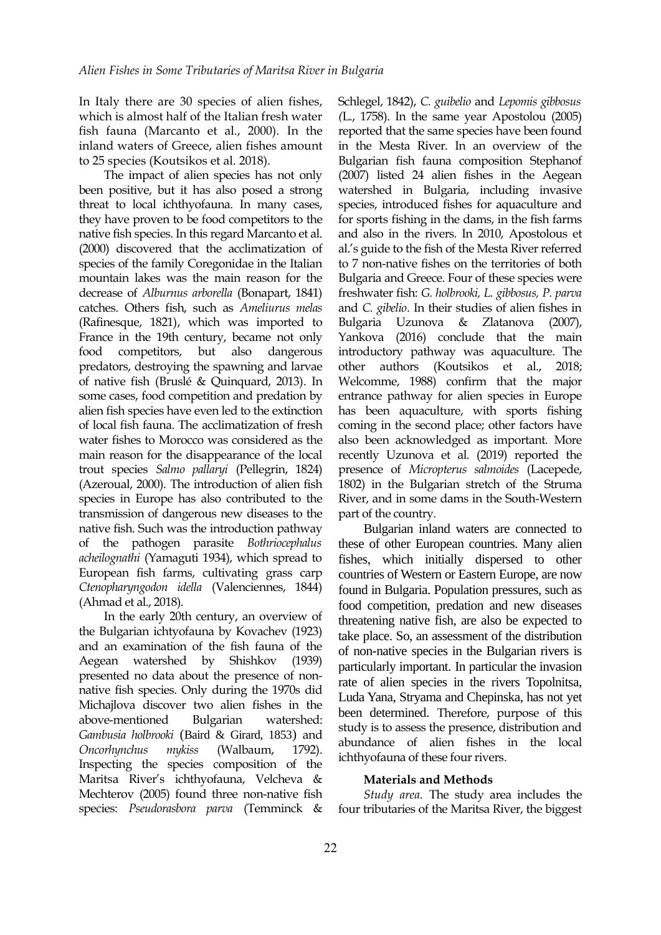In Italy there are 30 species of alien fishes, which is almost half of the Italian fresh water fish fauna (Marcanto et al., 2000). In the inland waters of Greece, alien fishes amount to 25 species (Koutsikos et al. 2018).

The impact of alien species has not only been positive, but it has also posed a strong threat to local ichthyofauna. In many cases, they have proven to be food competitors to the native fish species. In this regard Marcanto et al. (2000) discovered that the acclimatization of species of the family Coregonidae in the Italian mountain lakes was the main reason for the decrease of *Alburnus arborella* (Bonapart, 1841) catches. Others fish, such as *Ameliurus melas* (Rafinesque, 1821), which was imported to France in the 19th century, became not only food competitors, but also dangerous predators, destroying the spawning and larvae of native fish (Bruslé & Quinquard, 2013). In some cases, food competition and predation by alien fish species have even led to the extinction of local fish fauna. The acclimatization of fresh water fishes to Morocco was considered as the main reason for the disappearance of the local trout species *Salmo pallaryi* (Pellegrin, 1824) (Azeroual, 2000). The introduction of alien fish species in Europe has also contributed to the transmission of dangerous new diseases to the native fish. Such was the introduction pathway of the pathogen parasite *Bothriocephalus acheilognathi* (Yamaguti 1934), which spread to European fish farms, cultivating grass carp *Ctenopharyngodon idella* (Valenciennes, 1844) (Ahmad et al., 2018).

In the early 20th century, an overview of the Bulgarian ichtyofauna by Kovachev (1923) and an examination of the fish fauna of the Aegean watershed by Shishkov (1939) presented no data about the presence of nonnative fish species. Only during the 1970s did Michajlova discover two alien fishes in the above-mentioned Bulgarian watershed: *Gambusia holbrooki* (Baird & Girard, 1853) and *Oncorhynchus mykiss* (Walbaum, 1792). Inspecting the species composition of the Maritsa River's ichthyofauna, Velcheva & Mechterov (2005) found three non-native fish species: *Pseudorasbora parva* (Temminck &

Schlegel, 1842), *C. guibelio* and *Lepomis gibbosus (*L., 1758). In the same year Apostolоu (2005) reported that the same species have been found in the Mesta River. In an overview of the Bulgarian fish fauna composition Stephanof (2007) listed 24 alien fishes in the Aegean watershed in Bulgaria, including invasive species, introduced fishes for aquaculture and for sports fishing in the dams, in the fish farms and also in the rivers. In 2010, Apostolоus et al.'s guide to the fish of the Mesta River referred to 7 non-native fishes on the territories of both Bulgaria and Greece. Four of these species were freshwater fish: *G. holbrooki, L. gibbosus, P. parva* and *C. gibelio*. In their studies of alien fishes in Bulgaria Uzunova & Zlatanova (2007), Yankova (2016) conclude that the main introductory pathway was aquaculture. The other authors (Koutsikos et al., 2018; Welcomme, 1988) confirm that the major entrance pathway for alien species in Europe has been aquaculture, with sports fishing coming in the second place; other factors have also been acknowledged as important. More recently Uzunova et al. (2019) reported the presence of *Micropterus salmoides* (Lacepede, 1802) in the Bulgarian stretch of the Struma River, and in some dams in the South-Western part of the country.

Bulgarian inland waters are connected to these of other European countries. Many alien fishes, which initially dispersed to other countries of Western or Eastern Europe, are now found in Bulgaria. Population pressures, such as food competition, predation and new diseases threatening native fish, are also be expected to take place. So, an assessment of the distribution of non-native species in the Bulgarian rivers is particularly important. In particular the invasion rate of alien species in the rivers Topolnitsa, Luda Yana, Stryama and Chepinska, has not yet been determined. Therefore, purpose of this study is to assess the presence, distribution and abundance of alien fishes in the local ichthyofauna of these four rivers.

#### **Materials and Methods**

*Study area.* The study area includes the four tributaries of the Maritsa River, the biggest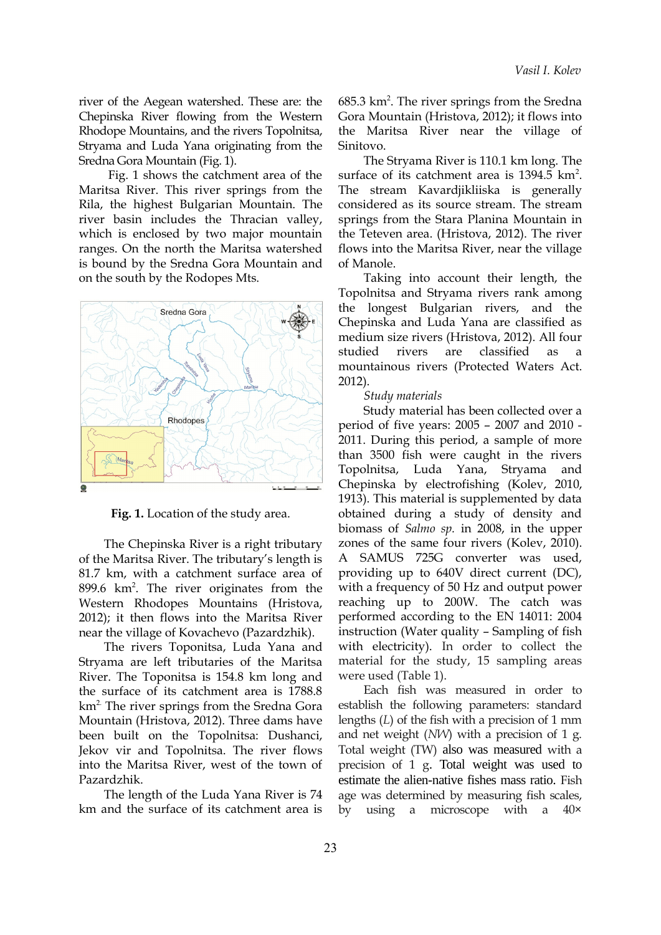river of the Aegean watershed. These are: the Chepinska River flowing from the Western Rhodope Mountains, and the rivers Topolnitsa, Stryama and Luda Yana originating from the Sredna Gora Mountain (Fig. 1).

Fig. 1 shows the catchment area of the Maritsa River. This river springs from the Rila, the highest Bulgarian Mountain. The river basin includes the Thracian valley, which is enclosed by two major mountain ranges. On the north the Maritsa watershed is bound by the Sredna Gora Mountain and on the south by the Rodopes Mts.



**Fig. 1.** Location of the study area.

The Chepinska River is a right tributary of the Maritsa River. The tributary's length is 81.7 km, with a catchment surface area of 899.6 km<sup>2</sup>. The river originates from the Western Rhodopes Mountains (Hristova, 2012); it then flows into the Maritsa River near the village of Kovachevo (Pazardzhik).

The rivers Toponitsa, Luda Yana and Stryama are left tributaries of the Maritsa River. The Toponitsa is 154.8 km long and the surface of its catchment area is 1788.8 km<sup>2.</sup> The river springs from the Sredna Gora Mountain (Hristova, 2012). Three dams have been built on the Topolnitsa: Dushanci, Jekov vir and Topolnitsa. The river flows into the Maritsa River, west of the town of Pazardzhik.

The length of the Luda Yana River is 74 km and the surface of its catchment area is

685.3 km<sup>2</sup>. The river springs from the Sredna Gora Mountain (Hristova, 2012); it flows into the Maritsa River near the village of Sinitovo.

The Stryama River is 110.1 km long. The surface of its catchment area is  $1394.5 \text{ km}^2$ . The stream Kavardjikliiska is generally considered as its source stream. The stream springs from the Stara Planina Mountain in the Teteven area. (Hristova, 2012). The river flows into the Maritsa River, near the village of Manole.

Taking into account their length, the Topolnitsa and Stryama rivers rank among the longest Bulgarian rivers, and the Chepinska and Luda Yana are classified as medium size rivers (Hristova, 2012). All four studied rivers are classified as a mountainous rivers (Protected Waters Act. 2012).

#### *Study materials*

Study material has been collected over a period of five years: 2005 – 2007 and 2010 - 2011. During this period, a sample of more than 3500 fish were caught in the rivers Topolnitsa, Luda Yana, Stryama and Chepinska by electrofishing (Kolev, 2010, 1913). This material is supplemented by data obtained during a study of density and biomass of *Salmo sp.* in 2008, in the upper zones of the same four rivers (Kolev, 2010). A SAMUS 725G converter was used, providing up to 640V direct current (DC), with a frequency of 50 Hz and output power reaching up to 200W. The catch was performed according to the EN 14011: 2004 instruction (Water quality – Sampling of fish with electricity). In order to collect the material for the study, 15 sampling areas were used (Table 1).

Each fish was measured in order to establish the following parameters: standard lengths (*L*) of the fish with a precision of 1 mm and net weight (*NW*) with a precision of 1 g. Total weight (TW) also was measured with a precision of 1 g. Total weight was used to estimate the alien-native fishes mass ratio. Fish age was determined by measuring fish scales, by using a microscope with a 40×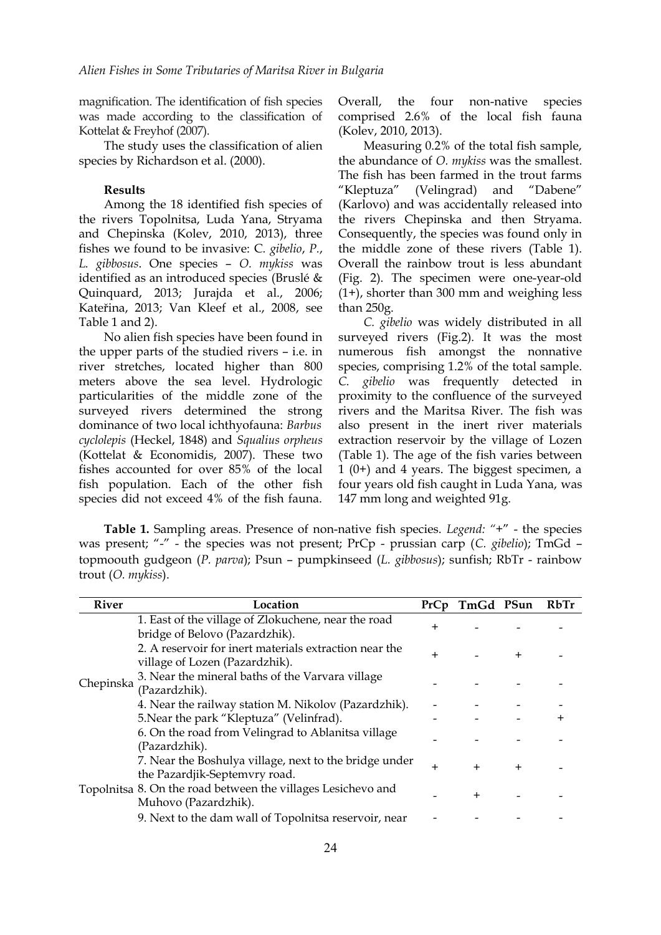magnification. The identification of fish species was made according to the classification of Kottelat & Freyhof (2007).

The study uses the classification of alien species by Richardson et al. (2000).

### **Results**

Among the 18 identified fish species of the rivers Topolnitsa, Luda Yana, Stryama and Chepinska (Kolev, 2010, 2013), three fishes we found to be invasive: C*. gibelio*, *P.*, *L. gibbosus*. One species – *O. mykiss* was identified as an introduced species (Bruslé & Quinquard, 2013; Jurajda et al., 2006; Kateřina, 2013; Van Kleef et al., 2008, see Table 1 and 2).

No alien fish species have been found in the upper parts of the studied rivers – i.e. in river stretches, located higher than 800 meters above the sea level. Hydrologic particularities of the middle zone of the surveyed rivers determined the strong dominance of two local ichthyofauna: *Barbus cyclolepis* (Heckel, 1848) and *Squalius orpheus* (Kottelat & Economidis, 2007). These two fishes accounted for over 85% of the local fish population. Each of the other fish species did not exceed 4% of the fish fauna.

Overall, the four non-native species comprised 2.6% of the local fish fauna (Kolev, 2010, 2013).

Measuring 0.2% of the total fish sample, the abundance of *O. mykiss* was the smallest. The fish has been farmed in the trout farms "Kleptuza" (Velingrad) and "Dabene" (Karlovo) and was accidentally released into the rivers Chepinska and then Stryama. Consequently, the species was found only in the middle zone of these rivers (Table 1). Overall the rainbow trout is less abundant (Fig. 2). The specimen were one-year-old (1+), shorter than 300 mm and weighing less than 250g.

*C. gibelio* was widely distributed in all surveyed rivers (Fig.2). It was the most numerous fish amongst the nonnative species, comprising 1.2% of the total sample. *C. gibelio* was frequently detected in proximity to the confluence of the surveyed rivers and the Maritsa River. The fish was also present in the inert river materials extraction reservoir by the village of Lozen (Table 1). The age of the fish varies between 1 (0+) and 4 years. The biggest specimen, a four years old fish caught in Luda Yana, was 147 mm long and weighted 91g.

**Table 1.** Sampling areas. Presence of non-native fish species. *Legend: "*+" - the species was present; "-" - the species was not present; PrCp - prussian carp (*C. gibelio*); TmGd – topmoouth gudgeon (*P. parva*); Psun – pumpkinseed (*L. gibbosus*); sunfish; RbTr - rainbow trout (*O. mykiss*).

| <b>River</b> | Location                                                                                 | PrCp  | TmGd PSun    |              | <b>RbTr</b> |
|--------------|------------------------------------------------------------------------------------------|-------|--------------|--------------|-------------|
| Chepinska    | 1. East of the village of Zlokuchene, near the road<br>bridge of Belovo (Pazardzhik).    | $\pm$ |              |              |             |
|              | 2. A reservoir for inert materials extraction near the<br>village of Lozen (Pazardzhik). | +     |              | $\pm$        |             |
|              | 3. Near the mineral baths of the Varvara village<br>(Pazardzhik).                        |       |              |              |             |
|              | 4. Near the railway station M. Nikolov (Pazardzhik).                                     |       |              |              |             |
|              | 5. Near the park "Kleptuza" (Velinfrad).                                                 |       |              |              |             |
|              | 6. On the road from Velingrad to Ablanitsa village<br>(Pazardzhik).                      |       |              |              |             |
|              | 7. Near the Boshulya village, next to the bridge under<br>the Pazardjik-Septemvry road.  | $\pm$ | $\mathrm{+}$ | $\mathrm{+}$ |             |
|              | Topolnitsa 8. On the road between the villages Lesichevo and<br>Muhovo (Pazardzhik).     |       | $\pm$        |              |             |
|              | 9. Next to the dam wall of Topolnitsa reservoir, near                                    |       |              |              |             |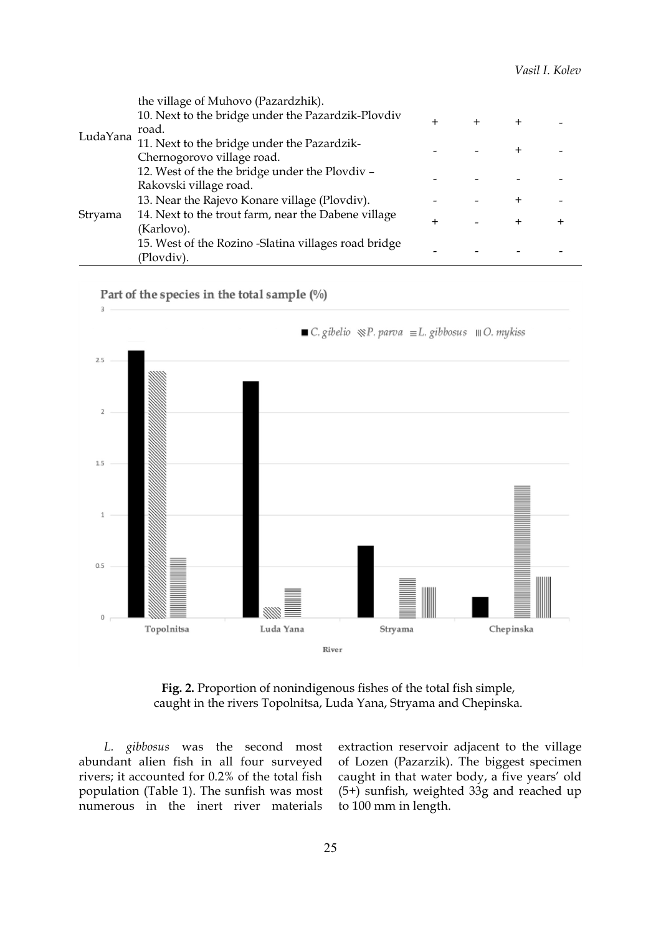|          | the village of Muhovo (Pazardzhik).                  |       |  |       |        |
|----------|------------------------------------------------------|-------|--|-------|--------|
| LudaYana | 10. Next to the bridge under the Pazardzik-Plovdiv   | $\pm$ |  | $\pm$ |        |
|          | road.                                                |       |  |       |        |
|          | 11. Next to the bridge under the Pazardzik-          |       |  |       |        |
|          | Chernogorovo village road.                           |       |  |       |        |
|          | 12. West of the the bridge under the Plovdiv -       |       |  |       |        |
| Stryama  | Rakovski village road.                               |       |  |       |        |
|          | 13. Near the Rajevo Konare village (Plovdiv).        |       |  | +     |        |
|          | 14. Next to the trout farm, near the Dabene village  |       |  | $\pm$ | $\div$ |
|          | (Karlovo).                                           |       |  |       |        |
|          | 15. West of the Rozino -Slatina villages road bridge |       |  |       |        |
|          | (Plovdiv).                                           |       |  |       |        |



**Fig. 2.** Proportion of nonindigenous fishes of the total fish simple, caught in the rivers Topolnitsa, Luda Yana, Stryama and Chepinska.

*L. gibbosus* was the second most abundant alien fish in all four surveyed rivers; it accounted for 0.2% of the total fish population (Table 1). The sunfish was most numerous in the inert river materials

extraction reservoir adjacent to the village of Lozen (Pazarzik). The biggest specimen caught in that water body, a five years' old (5+) sunfish, weighted 33g and reached up to 100 mm in length.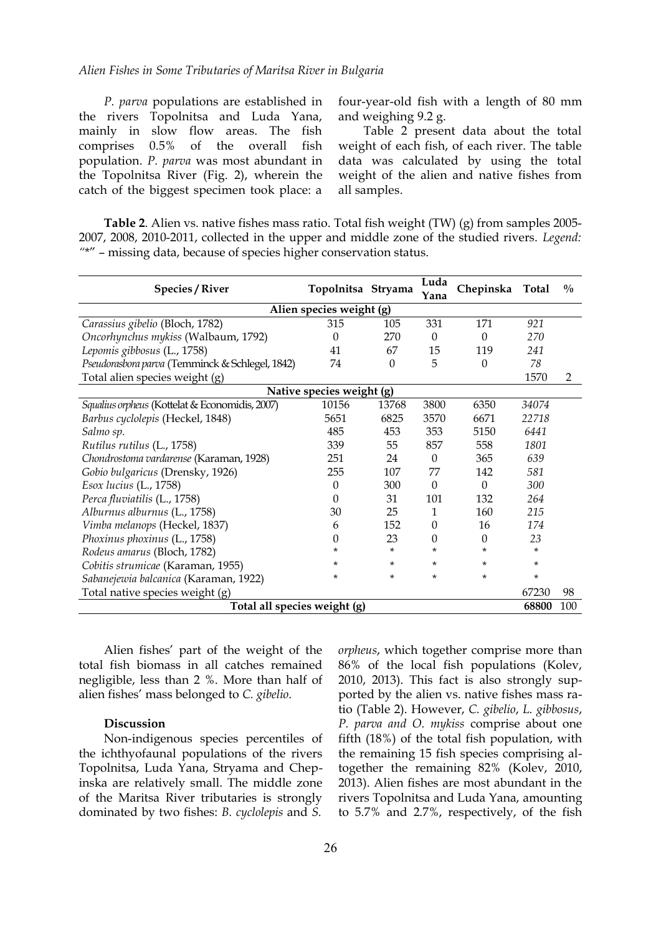#### *Alien Fishes in Some Tributaries of Maritsa River in Bulgaria*

*P. parva* populations are established in the rivers Topolnitsa and Luda Yana, mainly in slow flow areas. The fish comprises 0.5% of the overall fish population. *P. parva* was most abundant in the Topolnitsa River (Fig. 2), wherein the catch of the biggest specimen took place: a

four-year-old fish with a length of 80 mm and weighing 9.2 g.

Table 2 present data about the total weight of each fish, of each river. The table data was calculated by using the total weight of the alien and native fishes from all samples.

**Table 2**. Alien vs. native fishes mass ratio. Total fish weight (TW) (g) from samples 2005- 2007, 2008, 2010-2011, collected in the upper and middle zone of the studied rivers. *Legend: "*\*" – missing data, because of species higher conservation status.

| <b>Species / River</b>                          | Topolnitsa Stryama |          | Luda<br>Yana | Chepinska | <b>Total</b> | $\frac{0}{0}$ |  |  |  |  |
|-------------------------------------------------|--------------------|----------|--------------|-----------|--------------|---------------|--|--|--|--|
| Alien species weight (g)                        |                    |          |              |           |              |               |  |  |  |  |
| Carassius gibelio (Bloch, 1782)                 | 315                | 105      | 331          | 171       | 921          |               |  |  |  |  |
| Oncorhynchus mykiss (Walbaum, 1792)             | 0                  | 270      | $\Omega$     | $\Omega$  | 270          |               |  |  |  |  |
| Lepomis gibbosus (L., 1758)                     | 41                 | 67       | 15           | 119       | 241          |               |  |  |  |  |
| Pseudorasbora parva (Temminck & Schlegel, 1842) | 74                 | $\theta$ | 5            | $\Omega$  | 78           |               |  |  |  |  |
| Total alien species weight (g)                  |                    |          |              |           | 1570         | 2             |  |  |  |  |
| Native species weight (g)                       |                    |          |              |           |              |               |  |  |  |  |
| Squalius orpheus (Kottelat & Economidis, 2007)  | 10156              | 13768    | 3800         | 6350      | 34074        |               |  |  |  |  |
| Barbus cyclolepis (Heckel, 1848)                | 5651               | 6825     | 3570         | 6671      | 22718        |               |  |  |  |  |
| Salmo sp.                                       | 485                | 453      | 353          | 5150      | 6441         |               |  |  |  |  |
| Rutilus rutilus (L., 1758)                      | 339                | 55       | 857          | 558       | 1801         |               |  |  |  |  |
| Chondrostoma vardarense (Karaman, 1928)         | 251                | 24       | $\Omega$     | 365       | 639          |               |  |  |  |  |
| Gobio bulgaricus (Drensky, 1926)                | 255                | 107      | 77           | 142       | 581          |               |  |  |  |  |
| Esox lucius (L., 1758)                          | $\Omega$           | 300      | $\Omega$     | $\Omega$  | 300          |               |  |  |  |  |
| Perca fluviatilis (L., 1758)                    | $\Omega$           | 31       | 101          | 132       | 264          |               |  |  |  |  |
| Alburnus alburnus (L., 1758)                    | 30                 | 25       | $\mathbf{1}$ | 160       | 215          |               |  |  |  |  |
| Vimba melanops (Heckel, 1837)                   | 6                  | 152      | $\Omega$     | 16        | 174          |               |  |  |  |  |
| Phoxinus phoxinus (L., 1758)                    | 0                  | 23       | 0            | $\Omega$  | 23           |               |  |  |  |  |
| Rodeus amarus (Bloch, 1782)                     | *                  | $\ast$   | $\star$      | *         | $\star$      |               |  |  |  |  |
| Cobitis strumicae (Karaman, 1955)               | *                  | $\ast$   | $\star$      | $\star$   | $\star$      |               |  |  |  |  |
| Sabanejewia balcanica (Karaman, 1922)           | $\star$            | $\ast$   | $\star$      | *         | ¥.           |               |  |  |  |  |
| Total native species weight (g)                 |                    |          |              |           | 67230        | 98            |  |  |  |  |
| Total all species weight (g)                    |                    |          |              |           |              | 100           |  |  |  |  |

Alien fishes' part of the weight of the total fish biomass in all catches remained negligible, less than 2 %. More than half of alien fishes' mass belonged to *C. gibelio*.

#### **Discussion**

Non-indigenous species percentiles of the ichthyofaunal populations of the rivers Topolnitsa, Luda Yana, Stryama and Chepinska are relatively small. The middle zone of the Maritsa River tributaries is strongly dominated by two fishes: *B. cyclolepis* and *S.*

*orpheus*, which together comprise more than 86% of the local fish populations (Kolev, 2010, 2013). This fact is also strongly supported by the alien vs. native fishes mass ratio (Table 2). However, *C. gibelio*, *L. gibbosus*, *P. parva and O. mykiss* comprise about one fifth (18%) of the total fish population, with the remaining 15 fish species comprising altogether the remaining 82% (Kolev, 2010, 2013). Alien fishes are most abundant in the rivers Topolnitsa and Luda Yana, amounting to 5.7% and 2.7%, respectively, of the fish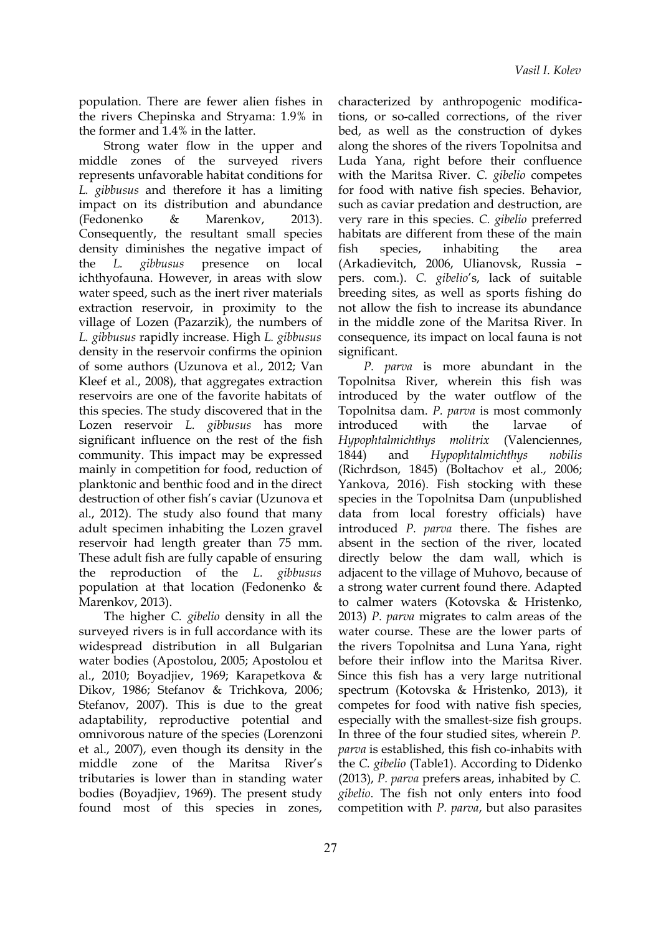population. There are fewer alien fishes in the rivers Chepinska and Stryama: 1.9% in the former and 1.4% in the latter.

Strong water flow in the upper and middle zones of the surveyed rivers represents unfavorable habitat conditions for *L. gibbusus* and therefore it has a limiting impact on its distribution and abundance (Fedonenko & Marenkov, 2013). Consequently, the resultant small species density diminishes the negative impact of the *L. gibbusus* presence on local ichthyofauna. However, in areas with slow water speed, such as the inert river materials extraction reservoir, in proximity to the village of Lozen (Pazarzik), the numbers of *L. gibbusus* rapidly increase. High *L. gibbusus* density in the reservoir confirms the opinion of some authors (Uzunova et al., 2012; Van Kleef et al., 2008), that aggregates extraction reservoirs are one of the favorite habitats of this species. The study discovered that in the Lozen reservoir *L. gibbusus* has more significant influence on the rest of the fish community. This impact may be expressed mainly in competition for food, reduction of planktonic and benthic food and in the direct destruction of other fish's caviar (Uzunova et al., 2012). The study also found that many adult specimen inhabiting the Lozen gravel reservoir had length greater than 75 mm. These adult fish are fully capable of ensuring the reproduction of the *L. gibbusus* population at that location (Fedonenko & Marenkov, 2013).

The higher *C. gibelio* density in all the surveyed rivers is in full accordance with its widespread distribution in all Bulgarian water bodies (Apostolоu, 2005; Apostolоu et al., 2010; Boyadjiev, 1969; Karapetkova & Dikov, 1986; Stefanov & Trichkova, 2006; Stefanov, 2007). This is due to the great adaptability, reproductive potential and omnivorous nature of the species (Lorenzoni et al., 2007), even though its density in the middle zone of the Maritsa River's tributaries is lower than in standing water bodies (Boyadjiev, 1969). The present study found most of this species in zones,

characterized by anthropogenic modifications, or so-called corrections, of the river bed, as well as the construction of dykes along the shores of the rivers Topolnitsa and Luda Yana, right before their confluence with the Maritsa River. *C. gibelio* competes for food with native fish species. Behavior, such as caviar predation and destruction, are very rare in this species. *C. gibelio* preferred habitats are different from these of the main fish species, inhabiting the area (Arkadievitch, 2006, Ulianovsk, Russia – pers. com.). *C. gibelio*'s, lack of suitable breeding sites, as well as sports fishing do not allow the fish to increase its abundance in the middle zone of the Maritsa River. In consequence, its impact on local fauna is not significant.

*P. parva* is more abundant in the Topolnitsa River, wherein this fish was introduced by the water outflow of the Topolnitsa dam. *P. parva* is most commonly introduced with the larvae of *Hypophtalmichthys molitrix* (Valenciennes, 1844) and *Hypophtalmichthys nobilis* (Richrdson, 1845) (Boltachov et al., 2006; Yankova, 2016). Fish stocking with these species in the Topolnitsa Dam (unpublished data from local forestry officials) have introduced *P. parva* there. The fishes are absent in the section of the river, located directly below the dam wall, which is adjacent to the village of Muhovo, because of a strong water current found there. Adapted to calmer waters (Kotovska & Hristenko, 2013) *P. parva* migrates to calm areas of the water course. These are the lower parts of the rivers Topolnitsa and Luna Yanа, right before their inflow into the Maritsa River. Since this fish has a very large nutritional spectrum (Kotovska & Hristenko, 2013), it competes for food with native fish species, especially with the smallest-size fish groups. In three of the four studied sites, wherein *P. parva* is established, this fish co-inhabits with the *C. gibelio* (Table1). According to Didenko (2013), *P. parva* prefers areas, inhabited by *C. gibelio*. The fish not only enters into food competition with *P. parva*, but also parasites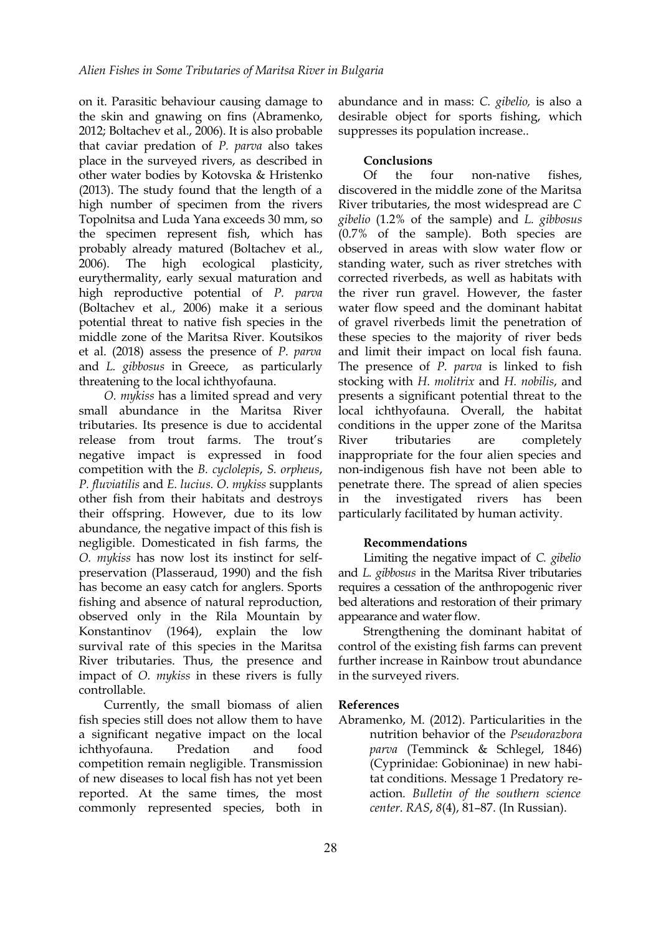on it. Parasitic behaviour causing damage to the skin and gnawing on fins (Abramenko, 2012; Boltachev et al., 2006). It is also probable that caviar predation of *P. parva* also takes place in the surveyed rivers, as described in other water bodies by Kotovska & Hristenko (2013). The study found that the length of a high number of specimen from the rivers Topolnitsa and Luda Yana exceeds 30 mm, so the specimen represent fish, which has probably already matured (Boltachev et al., 2006). The high ecological plasticity, eurythermality, early sexual maturation and high reproductive potential of *P. parva* (Boltachev et al., 2006) make it a serious potential threat to native fish species in the middle zone of the Maritsa River. Koutsikos et al. (2018) assess the presence of *P. parva* and *L. gibbosus* in Greece, as particularly threatening to the local ichthyofauna.

*O. mykiss* has a limited spread and very small abundance in the Maritsa River tributaries. Its presence is due to accidental release from trout farms. The trout's negative impact is expressed in food competition with the *B. cyclolepis*, *S. orpheus*, *P. fluviatilis* and *E. lucius. O. mykiss* supplants other fish from their habitats and destroys their offspring. However, due to its low abundance, the negative impact of this fish is negligible. Domesticated in fish farms, the *O. mykiss* has now lost its instinct for selfpreservation (Plasseraud, 1990) and the fish has become an easy catch for anglers. Sports fishing and absence of natural reproduction, observed only in the Rila Mountain by Konstantinov (1964), explain the low survival rate of this species in the Maritsa River tributaries. Thus, the presence and impact of *O. mykiss* in these rivers is fully controllable.

Currently, the small biomass of alien fish species still does not allow them to have a significant negative impact on the local ichthyofauna. Predation and food competition remain negligible. Transmission of new diseases to local fish has not yet been reported. At the same times, the most commonly represented species, both in

abundance and in mass: *C. gibelio,* is also a desirable object for sports fishing, which suppresses its population increase..

# **Conclusions**

Of the four non-native fishes, discovered in the middle zone of the Maritsa River tributaries, the most widespread are *C gibelio* (1.2% of the sample) and *L. gibbosus* (0.7% of the sample). Both species are observed in areas with slow water flow or standing water, such as river stretches with corrected riverbeds, as well as habitats with the river run gravel. However, the faster water flow speed and the dominant habitat of gravel riverbeds limit the penetration of these species to the majority of river beds and limit their impact on local fish fauna. The presence of *P. parva* is linked to fish stocking with *H. molitrix* and *H. nobilis*, and presents a significant potential threat to the local ichthyofauna. Overall, the habitat conditions in the upper zone of the Maritsa River tributaries are completely inappropriate for the four alien species and non-indigenous fish have not been able to penetrate there. The spread of alien species in the investigated rivers has been particularly facilitated by human activity.

# **Recommendations**

Limiting the negative impact of *C. gibelio* and *L. gibbosus* in the Maritsa River tributaries requires a cessation of the anthropogenic river bed alterations and restoration of their primary appearance and water flow.

Strengthening the dominant habitat of control of the existing fish farms can prevent further increase in Rainbow trout abundance in the surveyed rivers.

#### **References**

Abramenko, М. (2012). Particularities in the nutrition behavior of the *Pseudorazbora parva* (Temminck & Schlegel, 1846) (Cyprinidae: Gobioninae) in new habitat conditions*.* Message 1 Predatory reaction*. Bulletin of the southern science center*. *RAS*, *8*(4), 81–87. (In Russian).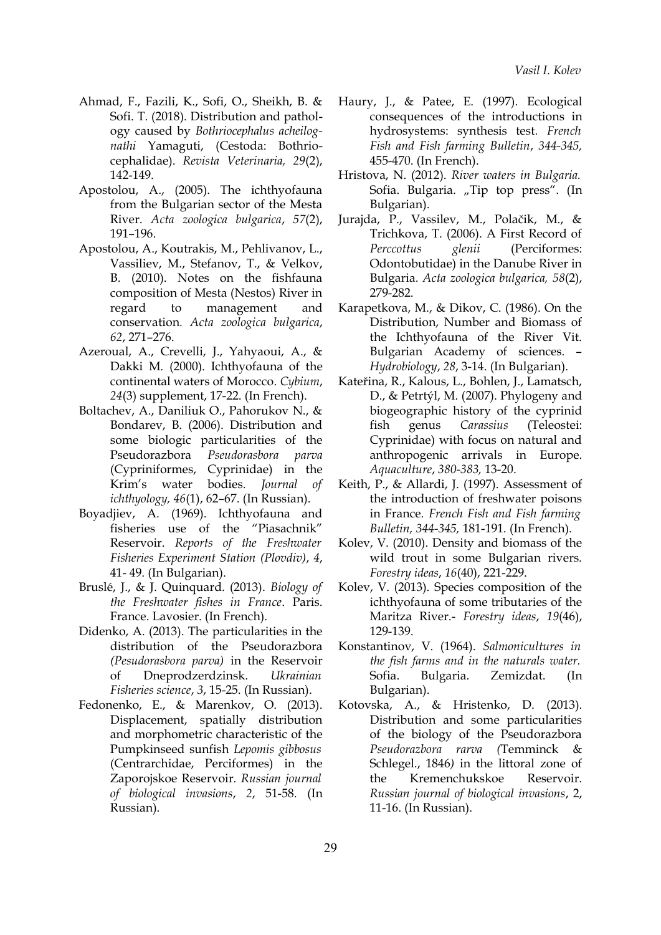- Ahmad, F., Fazili, K., Sofi, O., Sheikh, B. & Sofi. T. (2018). Distribution and pathology caused by *Bothriocephalus acheilognathi* Yamaguti, (Cestoda: Bothriocephalidae). *Revista Veterinaria, 29*(2), 142-149.
- Apostolou, A., (2005). The ichthyofauna from the Bulgarian sector of the Mesta River. *Acta zoologica bulgarica*, *57*(2), 191–196.
- Apostolou, A., Koutrakis, M., Pehlivanov, L., Vassiliev, M., Stefanov, T., & Velkov, B. (2010). Notes on the fishfauna composition of Mesta (Nestos) River in regard to management and conservation*. Acta zoologica bulgarica*, *62*, 271–276.
- Azeroual, A., Crevelli, J., Yahyaoui, A., & Dakki M*.* (2000). Ichthyofauna of the continental waters of Morocco. *Cybium*, *24*(3) supplement, 17-22. (In French).
- Boltachev, A., Daniliuk O., Pahorukov N., & Bondarev, B. (2006). Distribution and some biologic particularities of the Pseudorazbora *Pseudorasbora parva* (Cypriniformes, Cyprinidae) in the Krim's water bodies*. Journal of ichthyology, 46*(1), 62–67. (In Russian).
- Boyadjiev, A. (1969). Ichthyofauna and fisheries use of the "Piasachnik" Reservoir. *Reports of the Freshwater Fisheries Experiment Station (Plovdiv)*, *4*, 41- 49. (In Bulgarian).
- Bruslé, J., & J. Quinquard. (2013). *Biology of the Freshwater fishes in France*. Paris. France. Lavosier. (In French).
- Didenko, А. (2013). The particularities in the distribution of the Pseudorazbora *(Pesudorasbora parva)* in the Reservoir of Dneprodzerdzinsk. *Ukrainian Fisheries science*, *3*, 15-25. (In Russian).
- Fedonenko, Е., & Marenkov, О. (2013). Displacement, spatially distribution and morphometric characteristic of the Pumpkinseed sunfish *Lepomis gibbosus* (Centrarchidae, Perciformes) in the Zaporojskoe Reservoir*. Russian journal of biological invasions*, *2*, 51-58. (In Russian).
- Haury, J., & Patee, E. (1997). Ecological consequences of the introductions in hydrosystems: synthesis test*. French Fish and Fish farming Bulletin*, *344-345,* 455-470. (In French).
- Hristova, N. (2012). *River waters in Bulgaria.* Sofia. Bulgaria. "Tip top press". (In Bulgarian).
- Jurajda, P., Vassilev, M., Polačik, M., & Trichkova, T. (2006). A First Record of *Perccottus glenii* (Perciformes: Odontobutidae) in the Danube River in Bulgaria*. Acta zoologica bulgarica, 58*(2), 279-282.
- Karapetkova, M., & Dikov, C. (1986). On the Distribution, Number and Biomass of the Ichthyofauna of the River Vit. Bulgarian Academy of sciences. – *Hydrobiology*, *28*, 3-14. (In Bulgarian).
- Kateřina, R., Kalous, L., Bohlen, J., Lamatsch, D., & Petrtýl, M. (2007). Phylogeny and biogeographic history of the cyprinid fish genus *Carassius* (Teleostei: Cyprinidae) with focus on natural and anthropogenic arrivals in Europe. *Aquaculture*, *380-383,* 13-20.
- Keith, P., & Allardi, J. (1997). Assessment of the introduction of freshwater poisons in France*. French Fish and Fish farming Bulletin, 344-345,* 181-191. (In French).
- Kolev, V. (2010). Density and biomass of the wild trout in some Bulgarian rivers. *Forestry ideas*, *16*(40), 221-229.
- Kolev, V. (2013). Species composition of the ichthyofauna of some tributaries of the Maritza River.- *Forestry ideas*, *19*(46), 129-139.
- Konstantinov, V. (1964). *Salmonicultures in the fish farms and in the naturals water.* Sofia. Bulgaria. Zemizdat. (In Bulgarian).
- Kotovska, А., & Hristenko, D. (2013). Distribution and some particularities of the biology of the Pseudorazbora *Pseudorazbora rarva (*Temminck & Schlegel., 1846*)* in the littoral zone of the Kremenchukskoe Reservoir. *Russian journal of biological invasions*, 2, 11-16. (In Russian).